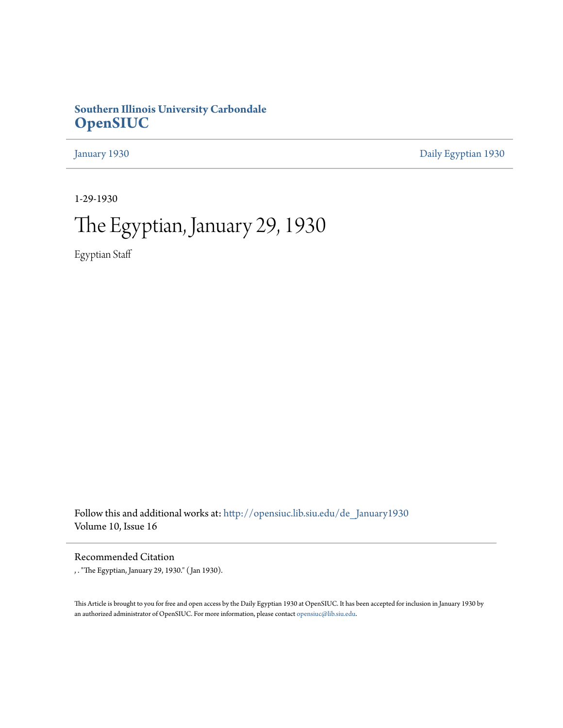### **Southern Illinois University Carbondale [OpenSIUC](http://opensiuc.lib.siu.edu?utm_source=opensiuc.lib.siu.edu%2Fde_January1930%2F1&utm_medium=PDF&utm_campaign=PDFCoverPages)**

[January 1930](http://opensiuc.lib.siu.edu/de_January1930?utm_source=opensiuc.lib.siu.edu%2Fde_January1930%2F1&utm_medium=PDF&utm_campaign=PDFCoverPages) [Daily Egyptian 1930](http://opensiuc.lib.siu.edu/de_1930?utm_source=opensiuc.lib.siu.edu%2Fde_January1930%2F1&utm_medium=PDF&utm_campaign=PDFCoverPages)

1-29-1930

# The Egyptian, January 29, 1930

Egyptian Staff

Follow this and additional works at: [http://opensiuc.lib.siu.edu/de\\_January1930](http://opensiuc.lib.siu.edu/de_January1930?utm_source=opensiuc.lib.siu.edu%2Fde_January1930%2F1&utm_medium=PDF&utm_campaign=PDFCoverPages) Volume 10, Issue 16

Recommended Citation

, . "The Egyptian, January 29, 1930." ( Jan 1930).

This Article is brought to you for free and open access by the Daily Egyptian 1930 at OpenSIUC. It has been accepted for inclusion in January 1930 by an authorized administrator of OpenSIUC. For more information, please contact [opensiuc@lib.siu.edu.](mailto:opensiuc@lib.siu.edu)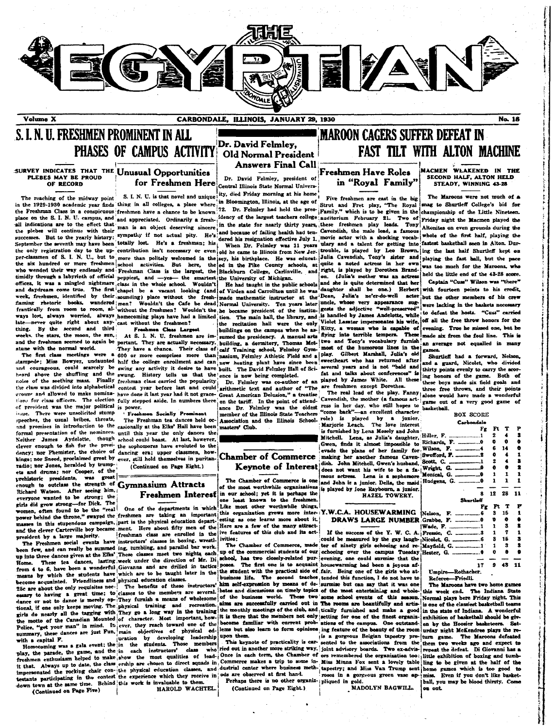

S. I. N. II. FRESHMEN PROMINENT IN ALL PHASES OF CAMPUS ACTIVITY

### SURVEY INDICATES THAT THE Unusual Opportunities PLEBES MAY BE PROUD OF RECORD

successes. But to the yearly history, when the search is resignation effective July 1, where we were now with a then tor getting into fastest basketball seen in Alton. During the section into the section into the section late never quite right about any cast without the freshmen?<br>thing. By the second and third Freehmen Class Large

stampede; Miss Bowyer, undaunted half the college enrollment and can new heating plant have since been and. and courageous, come exactery we gaing a my activity it defines the half the David Feimley Hall heard above the shuffling and the swung. History tells us that the built The David Feimley Hall noise of the seething mass. F the class was divided into alphabetical contest year before last and could arithmetic text and author of "The are freshmen except Dorothea. groups and allowed to make nomina- have done it last year had it not grace- Great American Delusion," a treatise tions for class officers. The election fully stepped aside. In numbers there of president was the major political is power. issue. There were unsolicited stump speeches, the usual bribes, threats, and promises in introduction to the casionally at the Elks' Hall have been formal presentation of the nominees. until this year the only dances the Neither James Aydelotte, though clever enough to fish for the presidency; nor Phemister, the choice of dancing era; upper classmen, how there kings; nor Sneed, proclaimed great by ever, still hold themselves in puritanradio; nor Jones, heralded by trumpets and drums; nor Cooper, of the prehistoric presidents, was great enough to outclass the strength of Gymnasium Attracts Richard Watson. After seeing him, everyone wanted to be strong; the girls did grow strong-for Dick. The women, often found to be the "real president by a large majority.

up into three dances given at the Elks' These classes meet two nights each These tea Home. from 4 to 6, have been a wonderful Giovanna and are drilled in tactics means by which the students have which are to be taught later in the become acquainted. Friendliness and physical education classes.<br>25c are about the only requisites nee- The benefits of these tional, if one only keeps moving. The physical training and recreation.

for Freshmen Here Central Illinois State Normal Univers-

the plebes will continue with their man is an object deserving sincere in the state of failing health had ten. Cavendish, the male lead, a famous (Altonites on even grounds during the successes. But to the yearly history: week, freshmen, identified by their sounding) place without the fresh-junde maturement instructor at the Dean, Julia's ne'er-do-well actor-<br>flaming rhetoric books, wandered men? Wouldn't the Cafe be dead Normal University. ways lost, always worried, always homecoming plays have had a limited tion. The main hall, the library, and

The first class meetings were a 600 or more comprises more than nasium, Felmley Athletic Field and a play. courageous, could scarcely be swing any activity it desire to have built. The David Felmley Hall of Sci-several years and is not "bald and

> Freshmen Socially Prominent The Freshman tea dances held ocschool could boast. At last, however, the sophomores have evoluted to the (Continued on Page Eight.)

One of the departments in which is in this stupendous campaign, part is the physical education depart. freshman class are enrolled in the The Freshmen social events have instructors' classes in boxing, wrestlen few, and can really be summed ing, tumbling, and parallel bar work. dances, lasting week under the direction of Mr. Di

The benefits of these instructors'

**Old Normal President Answers Final Call** Dr. David Felmley, president of

Dr. David Felmley.

The reaching of the midway point S. I. N. U. is that novel and unique ity, died Friday morning at his home<br>in the 1929-1930 academic year finds thing in all colleges, a place where in Bloomington, Illinois, at the age of S

on the tariff. In the point of attend-

member of the Illinois State Teachers masters' Club.

### **Chamber of Commerce Keynote of Interest**

The Chamber of Commerce is one of the most worthwhile organizations Freshmen Interest in our school; yet it is perhaps the one least known to the fre

Like most other worthwhile things, women, otten round to be the really one of the departments in which this organization grows more inter-iY.W.C.A. HOUSEWARMING esting as one learns more about it. and the clever Carterville boy became ment. Here about fifty men of the Here are a few of the many attractive features of this club and its activities:

the student with the practical side of fair. Being one of the girls who at-

### MAROON CAGERS SUFFER DEFEAT IN **FAST TILT WITH ALTON MACHINE**

### **Freshmen Have Roles** in "Royal Family"

late—never quite right about any cast without the irrealisme.<br>weeks, the second and third: Freehmen Schale is a computer of the campus when he as Kitty, a woman who is caputer of two and the foul line. This is<br>weeks, the s Gilbert Marshall, Julia's old sweetheart who has returned after equine and thirty points evenly to carrier and the conference of the points evenly to carrier in the carrier of an played by James White. All these these have not all the same.<br>Dr. Felmley was co-author of an played by Jam

The real lead of the play. Fanny three free throws, and their points<br>Cavendish, the mother (a famous actance Dr. Felmley was the oldest ress in her day, who still hopes to "come back"-an excellent character member of the illinois State Teachers' current and the specialized by a junior,<br>Association and the Illinois School- role) is played by a junior,<br>masters' Club.

is furnished by Lena Mosely and John Ħ Mitchell. Lena, as Julia's daughter, Gwen, finds it almost impossible to Ri evade the plans of her family for. i sa making her another famous Cavendish. John Mitchell, Gwen's husband, ۱B does not want his wife to be a famous actress. Lena is a sophomore and John is a junior. Della, the maid ÷П is played by Jone Raybourn, a junior HAZEL TOWERY.

### **DRAWS LARGE NUMBER G**

If the success of the Y. W. C. A.  $F$ rities: could be measured by the gay laugh-N.<br>The Chamber of Commerce, made ter of ninety girls echoeing and reup of the commercial students of our echoeing over the campus Tuesday  $\mathbf{H}$ school, has two closely-related pur-evening, one could surmise that the poses. The first one is to acquaint housewarming had been a joyous af-

business life. The second teaches tended this function, I do not have to him self-expression by means of de-surmise but can say that it was one event above the couple of the business of wholesome of the business world. These two some school events of the most entertaining and whole-<br>dance or not to dance is merely op- They furnish a means of wholesome of the busin of the business world. These two some school events of this season. Normal plays here Friday night. This aims are successfully carried out in The rooms are beautifully and artistional, if one only keeps moving. The physical training and recreation for the monthly meetings of the club, and tically furnished and make a good in the state of Indiana. A vonderful<br>the motor of the Canadian Mounted of c The motto of the Cannot and mottor of the capital and the mottor and the interest in the capital content in the capital content into the capital expected into the capital expected into the capital expected into the capital here the method reserves the structure of precisely is a gorgeous Belgian tapestry pre- turn game. The Maroons defeated the above the street to the associations from the them two weeks ago and expect to who ried out in ano nomecoming was a sea wear. The in each instructors' class who ried out in another more striking way. Soint advisory boards. Two exactive repeat the defeat. Di Gioranni has a result of the paradic the game and the sea term, it that. Always up to date, the cusse erasphe are chosen to direct squads in Commerce makes a trip to some in- Miss Minna Fox sent a lovely table ling to be given at the ball of the impersonated the rocking chair con-itle

MACMEN WLAKENED IN THE SECOND HALF, ALTON HELD STEADY. WINNING 43-28

the buy regard of S. I. N. U., but to more than politics. But he large in the list of the case of its and the case of the same to find the case of the same of S. I. N. U., but to more than politics. But here, the ed in the aming through a labyrinth of official peppiest, and --yes- the smartest the University of Michgan. (Julia's mother was an actress held the little end of the 43-28 score.<br>and daydream come true. The first change is a vacant but the other members of his crew were lacking in the baskets necessary is handled by James Andelotte, while to defeat the hosts. "Cuss" carried the recitation hall were the only Violet Lasster impersonates his wife, off all the free throw honors for the

Shurtleff had a forward, Nelson and a guard, Nicolet, who divided thirty points evenly to carry the scor-Both of these boys made six field goals and three free throws, and their points game out of a very good game of basketball.

### **ROX SCORE**

| Carbondale                      |    |    |                           |    |
|---------------------------------|----|----|---------------------------|----|
|                                 | Fg | Ft | т                         | P  |
| iller, F. 1                     |    | 2  | 4                         | 2  |
| ichards, F. 0                   |    | 0  | 0                         | ٠  |
|                                 |    | 6  | 14                        | o  |
| rofford, <b>F</b> . _________.2 |    | ٥  | 4                         | 1  |
| eott, C. <u>.</u>               |    | 2  | 4                         | 2  |
|                                 |    | ۰  | e                         | 2  |
| onical, G. 0                    |    | 1  | 1                         | 1  |
| udgens, G. 0                    |    | ı  | 1                         | 1  |
|                                 |    |    |                           | ÷  |
|                                 | 8  | 12 | 28                        | 11 |
|                                 |    |    |                           |    |
| Shurtleff                       |    |    |                           |    |
|                                 | Fg |    | $\mathbf{r}$ $\mathbf{r}$ | F  |
|                                 |    | з  | 15                        | 1  |
| rabbe, F. 0                     |    | ъ  | ۰                         | ٠  |
| ade, F. 1                       |    | ı  | 3                         | 2  |
| ressie. C. 3                    |    | 1  | 7                         | 1  |
| icolet, G. 6                    |    | 3  | 15                        | 2  |
| ayfield, G. 1                   |    | 1  | 3                         | s  |
| ester, G. 0                     |    | o  | ô                         | ۰  |
|                                 |    |    |                           |    |
|                                 | 17 | 9  | 43                        | 11 |

Referee-Friedli.

The Maroons have two home gam this week end. The Indiana State is one of the classiest basketball teams e ro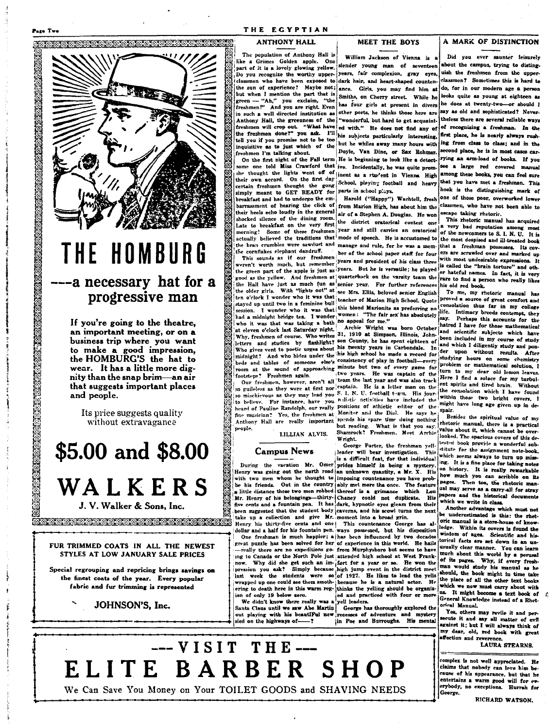

### THE HOMBURG ---a necessary hat for a progressive man

If you're going to the theatre. an important meeting, or on a business trip where you want to make a good impression,<br>the HOMBURG'S the hat to wear. It has a little more dignity than the snap brim-an air that suggests important places and people.

Its price suggests quality without extravagance

\$5.00 and \$8.00 WALKERS

J. V. Walker & Sons, Inc.

### FUR TRIMMED COATS IN ALL THE NEWEST STYLES AT LOW JANUARY SALE PRICES

Special regrouping and repricing brings savings on the finest coats of the year. Every popular fabric and fur trimming is represented

JOHNSON'S, Inc.

### THE EGYPTIAN

### **ANTHONY HALL**

The population of Anthony Hall is like a Grimes Golden apple. One<br>part of it is a lovely glowing yellow. Do you recognize the worthy upper- vears, fair complexion, gray eyes, uish the freshmen from the upperclassmen who have been exposed to dark hair, and heart-shaped countenthe sun of experience? Mavbe not: but when I mention the part that is green -- "Ah," you exclaim, "the freshmen!" And you are right. Even in such a well directed institution as Anthony Hall, the greenness of the freshmen will crop out. "What have freshmen will crop out with the specific and the freshmen done?" you wish illtell you if you promise not to be too inquisitive as to just which of the freshmen I'm talking about.

On the first night of the Fall term some one told Miss Crawford that ive. Incidentally, he was quite promshe thought the lights went off of jine. Inches a rturent in Vienna High<br>their own accord. On the first day sheet as a rturent in Vienna High certain freshmen thought the gong simply meant to GET READY for breakfast and had to undergo the embarrassment of hearing the click of from Marion High, has about him the their heels echo loudly in the general shocked silence of the dining room. Late to breakfast on the very first; the district oratorical contest one the cornflakes elephant dandruff.

weren't worth much, but remember years and president of his class three who it was that was taking a bath no appeal for me."<br>
at eleven o'clock last Saturday night. Archie Wright was born October hand scientific subjects which have<br>
it eleven o'clock last Saturday night. 301.0 at Simpson, Ill

heard of Pauline Randolph, our really positions of athletic editor of the might have long ago given up in de-<br>fine musician. Yes, the freshmen at Monitor and the Dial. He says he spair. Anthony Hall are really important spends his spare time doing nothing people.

### LILLIAN ALVIS.

### **Campus News**

five cents and a fountain pen. It has dark, hypnotic eyes gleam from their been suggested that the student body caverns, and his scowl turns the next take up a collection and give Mr. moment into a broad grin. Henry his thirty-five cents and one! This countenance George has al-

-really there are no expeditions go- from Murphysboro but seems to have ing to Canada or the North Pole just attended high school at West Franknow. Why did she get such an im-tort for a year or so. He won the pression you ask? Simply because high jump event in the district meet last week the students were so of 1927. He likes to lead the yells wrapped up one could see them smoth-; because he is a natural actor. He ering to death here in this warm reg-thinks the yelling should be organizion of only 19 below zero. We didn't know there really was a yell leaders.

Santa Claus until we saw Abe Martin out playing with his beautIFul new

**MEET THE BOYS** 

William Jackson of Vienna is a slender young man of seventeen about the campus, trying to distingance. Girls, you may find him at Smiths, on Cherry street. While he has four girls at present in divers other ports, he thinks those here are "wonderful, but hard to get acquainted with." He does not find any of but he whiles away many hours with Doyle, Van Dine, or Sax Rohmer. He is beginning to look like a detect-School, playing football and heavy parts in school plays.

Harold ("Happy") Wachtell, fresh air of a Stephen A. Douglas. He won Late to breakfast on the very first the district oratorical contest one a very bad reputation among most morning! Some of these freshmen year and still carries an oratorical of the newcomers to S. I. N. U. It is actually believed the traditions that mode of speech. He is accustomed to the most despised and ill-treated book the bran crumbles were sawdust and manage and rule, for he was a mem-that a freshman possesses. Its cove cornflakes elephant dandruff.<br>This sounds as if our freahmen ber of the school paper staff for four examed over and marked up<br>This sounds as if our freahmen second the second paper staff for four examed over and marked This sources of the apple is just as i) ears and president of his class three is called the "brain torture" and other than the green part of the apple is just as years. But he is versatile; he played is recent to the apple the green part of the apple  $\omega$  and  $\omega$  and  $\omega$  are the varsity team the part to find a person who really likes the Hall have just as much fun as senior year. For further references his old red book.<br>the older girls. With "lights out" at see Mrs. Ellis, beloved senior English 170 me, my r the other kins. Then it was that see Mrs. Ellis, beloved senior English in the proved in source of great comfort and<br>then o'clock I wonder who it was that is acceler of Marion High School. Quote in the proved a source of v until two in a feminine bull contained bond Marionite as preferring no consolation thus far in my college I wonder who it was that  $\lim_{n \to \infty}$  when  $\epsilon_n$  is also been also life. Intimacy breeds contempt, they

Immungnt: And who nines under the the wave served on emade a record for the solution on some called the solution, I be discussed the leads of someone else's consistency of play in football—every game for problem or mathem so guardess as eney were at first nor consumer the is a letter man on the the consolation which I have found to mischievous as they may lead you S. I. N. U. football team. His jour- which is how the I have found to believe but reading. What is that you say.<br>Shamrock! Freshmen. Meet Archie Wright.

George Porter, the freshman yellleader will bear investigation. This is a difficult feat, for that individual During the vacation Mr. Omer prides himself in being a mystery Henry was going out the north road an unknown quantity, a Mr. X. His with two men whom he thought to imposing countenance you have probhe his friends. Out in the country ship met more the once. The feature a little distance these two men robbed thereof is a grimance which Lon Mr. Henry of his belongings—thirty- Chaney could not duplicate. His

dollar and a half for his fountain pen. ways possessed, but his disposition One freshman is much happier; a has been influenced by two decades<br>great puzzle has been solved for her of experience in this world. He hails ed and practiced with four or more

George has thoroughly explored the recesses of adventure and mystery<br>in Poe and Burroughs. His mental

### A MARK OF DISTINCTION

Did you ever saunter leisurely classmen? Sometimes this is hard to do, for in our modern age a person looks quite as young at eighteen as he does at twenty-two-or should I say as old and sonhisticated? Never. theless there are several reliable ways of recognizing a freshman. In the first place, he is nearly always rushing from class to class; and in the second place, he is in most cases carrying an arm-load of books. If you see a large red covered manual among these books, you can feel sure that you have met a freshman. This book is the distinguishing mark of one of those poor, overworked lower classmen, who have not been able to escape taking rhetoric.

This rhetoric manual has acquired with most undesirable expressions. It

To me, my rhetoric manual has

Besides the spiritual value of my rhetoric manual. there is a practical value about it, which cannot be overlooked. The spacious covers of this detested book provide a wonderful substitute for the assignment note-book. which seems always to turn up missing. It is a fine place for taking notes on history. It is really remarkable pages. Then too, the rhetoric manual may serve as a carry-all for stray papers and the historical documents which we write in class.

Another advantage which must not be underestimated is this: the rhetoric manual is a store-house of knowledge. Within its covers is found the wisdom of ages. Scientific and historical facts are set down in an unusually clear manner. You can learn much about this world by a perusal of its pages. Why, if every freshman would study his manual as he should, the book might in time take the place of all the other text books which we now must carry about with us. It might become a text book of General Knowledge instead of a Rhetriral Manual.

Yes, others may revile it and persecute it and say all matter of evil against it; but I will always think of my dear, old, red book with great affection and reverenc

**LAURA STEARNS.** 

complex is not well appreciated. He claims that nobedy can leve him b cause of his appearance, but that he entertains a warm good will for everybody, no exceptions. Hurrah for George.

RICHARD WATSON.

 $---VISIT THE---$ ELITE BARBER SHOP

We Can Save You Money on Your TOILET GOODS and SHAVING NEEDS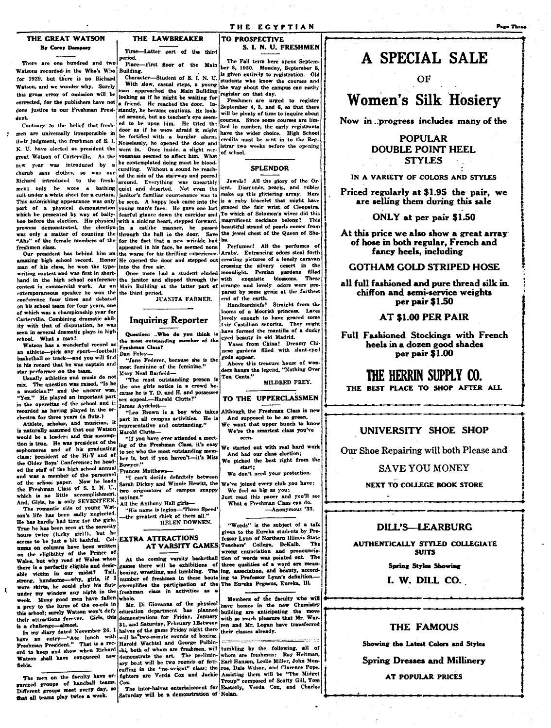### THE GREAT WATSON By Corey Dempsey

There are one hundred and two Watsons recorded in the Who's Who Building. for 1929, but there is no Richard Watson, and we wonder why. Surely this gross error of omission will be this gross error of omission will be looking as if he might be waiting for corrected, for the publishers have not a friend. He reached the door. Indone justice to our Freshman Presi-stantly, he became cautious. He lookdent

Contrary to the belief that freshmen are universally irresponsible in door as u ne were arrow to mean their judgment, the freshmen of S. I. Noiselessly, he opened the door and N. U. have elected as president the went in. Once inside, a slight nergreat Watson of Carterville. As the vousness seemed to affect him. What new year was introduced by a he contemplated doing must be bloodnew year was introduced by a ne contemplated doing must be blood-<br>cherub sans clothes, so was our carding. Without a sound he reach-<br>Richard introduced to the fresh-<br>around. Everything was unearthly<br>men; only he wore a bat suit under a white sheet for a curtain. janitor's familiar countenance was to This astonishing appearance was only be seen. A happy look came into the which he presented by way of bally- fearful glance down the corridor and hoo before the election. His physical with a sinking heart, stepped forward, prowess demonstrated, the election in a catlike manner, he passed was only a matter of counting the through the hall to the door. freshmen class.

man of his class, he won the type- into the free air. writing contest and was first in shorthand in the high school conference extemporaneous speaker he won the the third period. conference four times and debated on his school team for four years, one of which was a championship year for Carterville. Combining dramatic ability with that of disputation, he was seen in several dramatic plays in high school. What a man!

Watson has a wonderful record as an athlete-pick any sport-football basketball or track-and you will find in his record that he was captain and star performer on the team.

Usually athletics and music do not mix. The question was raised, "Is he a musician?" and the answer was "Yez." He played an important part in the operettas of the school and it recorded as having played in the or chestra for three years (a flute.)

Athlete, scholar, and musician, it would be a leader; and this assumption is true. He was president of the sophomores and of his graduating class; president of the Hi-Y and of the Older Boys' Conference; he headed the staff of the high school annual and was a member of the personnel of the school paper. Now he leads the Freshman Class of S. I. N. U., And, Girls, he is only SEVENTEEN. The romantic side of young Wat-

son's life has been sadly neglected He has hardly had time for the girls True he has been seen at the sorority house twice (lucky girl!), but h seems to be just a bit bashful. Col-EXTRA ATTRACTIONS umns on columns have been writter on the eligibility of the Prince of Wales, but why read of Wales when there is a perfectly eligible and desirvictim in our midst? Tail. able strong, handsome-why, girls, if I wore skirts, he could play his flute under my window any night in the freshman class in activities as a week. Many good men have fallen whole. a prey to the lures of the co-eds in

 $\epsilon$ 

In my diary dated November 26. I Freshman President." That is a record to keep and show when Richard ski, both of whom are freshmen, will tumbling by the following, all of Watson shall have conquered new fields.

The men on the faculty have organized groups of handball teams. Different groups meet every day, so that all teams play twice a week.

### THE LAWBREAKER Time-Latter part of the third

eriod. Place-rirst floor of the Main

Character-Student of **8. 1 N. 11** With slow, casual steps, a young man approached the Main Building ed around, but no teacher's eve seemed to be upon him. He tried the door as if he were afraid it might part of a physical demonstration young man's face. He gave one last graced the fair wrist of Cleopatra. "Ahs" of the female members of the for the fact that a new wrinkle had ba. eshmen class. [appeared in his face, he seemed none Perfumes! All the perfumes of Our president has behind him an the worse for his thrilling experience. Araby. Entrancing odors steal forth amazing high school record. Honor He opened the door and stepped out creating pictures of a lonely caravan

the janitor and slipped through the with

JUANITA FARMER.

### **Inquiring Reporter**

Question: .. Who do you think is the most outstanding member of the Freshman Class? Dan Foley

"Jane Federer, because she is the most feminine of the feminine." Mary Neal Barfield-

"The most outstanding person is the one girls notice in a crowd because he is T. D. and H. and possesse sex appeal.-Harold Clutts!' James Aydelott-

"Leo Brown is a boy who takes part in all campus activities. He is<br>representative and outstanding." Harold Clutts-

"If you have ever attended a meeting of the Freshman Class, it's easy to see who the most outstanding mem ber is, but if you haven't-it's Miss Bowyer."

Frances Matthews-

"I can't decide definitely between<br>Sarah Dickey and Winnie Hewitt, the two originators of campus snappy sayings." All the Anthony Hall girls-

"His name is legion-Three Speed"<br>the greatest shielt of them all."<br>HELEN DOWNEN.

exemplifies the participation of the The Eureka Pegasus, Eureka, Ill.

Mr. Di Giovanna of the physical a prey to the lures of the co-eds in Mr. Di unvealing the planned base numes in the move their attractions forever. Girls, this demonstrations for Friday, January with so much pleasure that Mr. Wartin's their attractions f my diary dated November 26. I halves of the game Friday night there their classes already.<br>an entry-the lunch with will be two-minute rounds of boxing. Harold Wachtel and George Polbin-

Saturday will be a demonstration of Nolan.

TO PROSPECTIVE S. I. N. U. FRESHMEN

The Fall term here opens September 8, 1930. Monday, September 8. is given entirely to registration. Old students who know the courses and the way about the campus can easily register on that day.

Freshmen are urged to register September 4, 5, and 6, so that there will be plenty of time to inquire about courses. Since some courses are limited in number, the early registrants have the wider choice. High School credits must be sent in to the Registrar two weeks before the opening of school.

### **SPLENDOR**

Jewels! All the glory of the Orient. Diamonds, pearls, and rubies make up this glittering array. Here is a ruby bracelet that might have To which of Solomon's wives did this magnificent necklace belong? This beautiful strand of pearls comes from Save the jewel chest of the Queen of She-

Perfumes! All the perfumes of crossing the silvery desert in the Once more had a student eluded moonlight. Persian .<br>ght. Persian gardens filled<br>exquisite blossoms. These **filled** contest in commercial work. As an Main Building at the latter part of strange and lovely odors were pre pared by some genie at the farthest end of the earth.<br>Handkerchiefs! Straight from the

looms of a Moorish princess. Lares lovely enough to have graced some have formed the mantilla of a dusky eyed beauty in old Madrid.

Vases from China! Dreamy Chinese gardens filled with slant-eyed gods appear.

Above this treasure house of won ders hangs the legend, "Nothing Over Ten Cents."

MILDRED FREY.

### TO THE UPPERCLASSMEN

lthough the Freshman Class is new And supposed to be so green We want that upper bunch to know

We're the smartest class you've seen.

We started out with real hard work And had our class election; We picked the best right from the start:

We don't need your protection.

We've joined every club you have; We feel as big as you;

Just read this paper and you'll see What a Freshman Class can do. -Anonymous '33.

"Words" is the subject of a talk given to the Eureka students by Professor Lynn of Northern Illinois State AT VARSITY GAMES Teachers' College, DeKalb. The wrong enunciation and pronouncia At the coming varsity basketball tion of words was pointed out. The games there will be exhibitions of three qualities of a word are meanigninos uses with an interest of the ling, association, and beauty, according, were ling, association, and beauty, according.

> Members of the faculty who will have homes in the new Chemistry

demonstrate the art. The prelimin whom are freshmen: Ray Heitman, ary boat will be two rounds of fisti- Earl Hanson, Leslie Miller, John Mon-<br>euffing in the "no-weight" class; the roc, Dale Wilson, and Clarence Pope. fighters are Verda Cox and Jackie Assisting them will be "The Midget Troup" composed of Scotty Gill, Ton The inter-halves entertainment for Easterly, Verda Cox, and Charles

### A SPECIAL SALE

OF

### **Women's Silk Hosiery**

Now in progress includes many of the

### **POPULAR DOUBLE POINT HEEL STYLES**

IN A VARIETY OF COLORS AND STYLES

Priced regularly at \$1.95 the pair, we are selling them during this sale

ONLY at per pair \$1.50

At this price we also show a great array of hose in both regular, French and fancy heels, including

### **GOTHAM GOLD STRIPED HOSE**

all full fashioned and pure thread silk in chiffon and semi-service weights per pair \$1.50

### AT \$1.00 PER PAIR

Full Fashioned Stockings with French heels in a dozen good shades per pair \$1.00

### THE HERRIN SUPPLY CO.

THE BEST PLACE TO SHOP AFTER ALL

UNIVERSITY SHOE SHOP

Our Shoe Repairing will both Please and

**SAVE YOU MONEY** 

**NEXT TO COLLEGE BOOK STORE** 

### **DILL'S-LEARBURG**

**AUTHENTICALLY STYLED COLLEGIATE SUITS** 

### Spring Styles Showing

I. W. DILL CO.

### **THE FAMOUS**

Showing the Latest Colors and Styles

**Spring Dresses and Millinery** 

**AT POPULAR PRICES**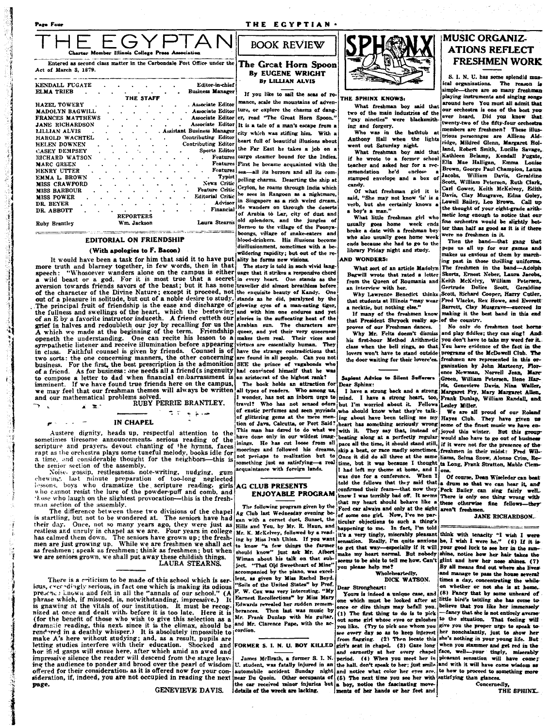$\sim$ 

EGYF  $\supset \mathcal{A}$   $\mathcal{A}$ Ilinois College P Entered as second class matter in the Carbondale Post Office under the The Great Horn Spoon

Act of March 3, 1879.

| KENDALL FUGATE         |                      | Editor-in-chief              |
|------------------------|----------------------|------------------------------|
| ELMA TRIEB             |                      | <b>Business Manager</b>      |
|                        | THE STAFF            |                              |
| <b>HAZEL TOWERY</b>    |                      | . Associate Editor           |
| <b>MADOLYN BAGWILL</b> |                      | . Associate Editor           |
| FRANCES MATTHEWS       |                      | Associate Editor             |
| JANE RICHARDSON        |                      | Associate Editor             |
| LILLIAN ALVIS          |                      | . Assistant Business Manager |
| HAROLD WACHTEL         | $\ddot{\phantom{0}}$ | Contributing Editor          |
| HELEN DOWNEN           | ٠                    | <b>Contributing Editor</b>   |
| <b>CASEY DEMPSEY</b>   |                      | Sports Editor                |
| RICHARD WATSON         |                      | <b>Features</b>              |
| <b>MARC GREEN</b>      |                      | <b>Features</b>              |
| HENRY UTTER            | $\Delta$             | <b>Features</b>              |
| EMMA L. BROWN          |                      | <b>Typist</b>                |
| <b>MISS CRAWFORD</b>   |                      | <b>News Critic</b>           |
| <b>MISS BARBOUR</b>    |                      | <b>Feature Critic</b>        |
| MISS POWER             |                      | <b>Editorial Critic</b>      |
| DR. BEYER              | $\ddot{\phantom{0}}$ | Advisor                      |
| DR. ABBOTT             |                      | Financial                    |
|                        | <b>REPORTERS</b>     |                              |
| <b>Ruby Brantley</b>   | Wm. Jackson          | Laura Stearns                |

#### **EDITORIAL ON FRIENDSHIP**

### (With apologies to F. Bacon)

It would have been a task for him that said it to have put ality he forms new visions. more truth and blarney together, in few words, then in that The story is told in such vivid lang-<br>speech: "Whosoever wanders alone on the campus is either uage that it strikes a responsive chord speech: "Whosoever wanders alone on the campus is either uage that it strikes a responsive chord a wild beast or a god. For it is most true that a secret in every heart. One stands as the aversion towards friends savors of of the character of the Divine Nature; except it proceed, not the exquisite beauty of Kandy. One out of a pleasure in solitude, but out of a noble desire to study. stands as he did, paralyzed by the The principal fruit of friendship is the ease and discharge of glowing eyes of a man-eating tiger, the fullness and swellings of the heart, which the bestowing and with him one endures and yet<br>of an E by a favorite instructor induceth. A friend cutteth our glories in the suffocating heat of the or an average in halves and redoubleth our joy by recalling for us the Arabian sun. The characters are<br>A which we made at the beginning of the term. Friendship queer, and yet their very queerness<br>openeth the understanding. sympathetic listener and receive illumination before appearing in class. Faithful counsel is given by friends. Counsel is of have the strange contradictions that<br>two sorts: the one concerning manners, the other concerning are found in all people. Can you not business. For the first, the best prescription is the admonition of a friend. As for business: one needs all a friend (s ingenuity to compose a letter to dad when financial en:barrassment is imminent. If we have found true friends here on the campus, we may feel that our freshman themes will always be written and our mathematical problems solved.

RUBY PERRIE BRANTLEY.  $\mathbf{x} \cdot \mathbf{x}$ 

 $\pi(\tau) \in \mathfrak{g}_{\tau}$  as

#### **IN CHAPEL**

Austere dignity, heads up, respectful attention to the sometimes tiresome announcements, serious reading of the scripture and prayers, devout chanting of the hymns, faces rapt as the orchestra plays some tuneful melody, books idle for<br>a time, and considerable thought for the neighbors—this is the senior section of the assembly.

Noise, gossip, restlessness, note-writing, nudging, gum<br>chewing, last ninute preparation of too-long neglected<br>lessons, boys who dramatize the scripture reading, girls<br>who cannot resist the lure of the powder-puff and comb those who laugh on the slightest provocation-this is the fresh-

man section of the assembly.<br>The difference between these two divisions of the chapel is startling, but not to be wondered at. The seniors have had their day. Once, not so many years ago, they were just as restless and unruly in chapel as we are. Four years in college has calmed them down. The seniors have grown up; the fresh-<br>men are just growing up. While we are freshmen we shall act<br>as freshmen; speak as freshmen; think as freshmen; but when we are seniors grown, we shall put away these childish things. LAURA STEARNS.

There is a criticism to be made of this school which is serstate is a character of the state of the state of the state of the presence in the presence in the state of the state of the presence in the state of the presence which is making its odious presence. It must be presence, i nized at once and dealt with, before it is too late. Here it is (for the benefit of those who wish to give this selection as a dramatic reading, this next, since it is the climax, should be rendered in a deathly whisper.) It is absolutely impossible to make A's here without studying; and, as a result, pupils are letting studies interfere with their education. Shocked and FORMER S. I. N. U. BOY KILLED her if is a gasps will ensue here, after which amid an awed and<br>impressive silence the reader will descend from the stage leaving the audience to ponder and brood over the pearl of wisdom offered for their consideration, as it is offered now for your consideration, if, indeed, you are not occupied in reading the next page. GENEVIEVE DAVIS.

# **BOOK REVIEW**

By EUGENE WRIGHT **By LILLIAN ALVIS** 

If you like to sail the seas of romance, scale the mountains of adventure, or explore the chasms of danger, read "The Great Horn Spoon." It is a tale of a man's escape from a city which was stifling him. With a heart full of beautiful illusions about the Far East he takes a job on a cargo steamer bound for the Indies. First he became acquainted with the sea-all its horrors and all its compelling charms. Deserting the ship at Ceylon, he roams through India which he sees in Rangoon as a nightmare, in Singapore as a rich weird dream. He wanders on through the deserts of Arabia to Lar, city of dust and old splendors, and the jungles of<br>Borneo to the village of the Poonyaboongs, village of snake-eaters and blood-drinkers. His illusions become disillusionment, sometimes with a be wildering rapidity; but out of the re-

> virtues are essentially human. They SEE the prince of vagabonds who had convinced himself that he was an aristocrat of the highest rank?

> The book holds an attraction for all types of readers. Who among us I wonder, has not an inborn urge to travel? Who has not sensed odors of exotic perfumes and seen myriads of glittering gems at the mere tion of Java, Calcutta, or Port Said?<br>This man has dared to do what we have done only in our wildest image inings. He has cut loose from all moorings and followed his dreams, not perhaps to realization but to something just as satisfying-a real cquaintance with foreign lands.

### AG CLUB PRESENTS **ENJOYABLE PROGRAM**

The following program given by the Ag Club last Wednesday evening began with a cornet duet, Sunset, the Hills and You, by Mr. R. Haun, and Mr. K. McKelvey, followed by a reading by Miss Ivah Uhles. If you want to know "a few things the farmer should know" just ask Mr. Albert Wiman about his talk on that sub-<br>ject. "That Old Sweetheart of Mine" accompanied by the piano, was excellent, as given by Miss Rachel Boyd. "Soils of the United States" by Prof. F. W. Cox was very interesting. "My Earnest Recollections" by Miss Mary Edwards revealed her sudden rememberances. Then last was music by<br>Mr. Frank Dunlap with his guitar, and Mr. Clarence Pape, with the accordion.

James McIlrath, a former S. I. N. U. student, was fatally injured in an automobile accident Sunday night near Du Quoin. Other occupants of the car received minor injuries but a boy, notice the fascinating move-<br>details of the wreck are lacking. ments of her hands or her feet and details of the wreck are lacking.



#### THE SPHINX KNOWS:

What freshman boy said that two of the main industries of the "gay nineties" were blacksmith-

ing and forgery.<br>Who was in the bathtub at<br>Anthony Hall when the lights<br>went out Saturday night.

What freshman boy said that if he wrote to a former school teacher and asked her for a recmmendation he'd enclose  $\mathbf{r}$ stamped envelope and a box of candy.

Of what freshman girl it is said, "She may not know 'is' is a viet may not know 'is' is a<br>verb, but she certainly knows a<br>a boy's a man."

What little freshman girl who usually goes home week ends broke a date with a freshman boy who also usually goes home week<br>ends because she had to go to the library Friday night and study.

#### **AND WONDERS:**

What sort of an article Madolyn Bagwill wrote that rated a letter from the Queen of Roumania and an interview with her.

Why Lawrence Benedict thinks that students at Illinois "may wear<br>a necktie, but nothing else." If many of the freshmen know

that President Shryock really approves of our Freshman dances.

Why Mr. Felts doesn't dismise his first-hour Method Arithmetic class when the bell rings, so that lovers won't have to stand outside the door waiting for their lovere'es.

#### Sapient Advice to Silent Sufferers Dear Sphinx:

mind. I have a strong heart, too, Frank Dunlap, William Randall, and but I'm worried about it. Fellows who should know what they're talking about have been telling me my Hayes Club. They have given us eart has something seriously wrong with it. They say that, instead of beating along at a perfectly regular pace all the time, it should stand still, if it were not for the presence of the skip a beat, or race madly sometimes. Once it did do all three at the same liams, Selma Snow, Alonzo Crim, Retime, but it was because I thought ta Long, Frank Stratton, Mable Clem-I had left my theme at home, and  $I$  ons.

I had lett my theme at using, and a jona.<br>was due for a conference. When I Of course, Dean Wiseleder can beat<br>told the fellows that they said that a drum so that we can hear it, and confirmed their fears-that now they Peck Bailey can sing fairly well. knew I was terribly bad off. It seems There is only one thing wrong with that my heart should behave like a these otherwise fine fellows-Ford car always and only at the sight aren't freshmen of some one girl. Now, I've no particular objections to such a thing's happening to me. In fact, I'm told strated a very tingly, miserably pleasant think with tenacity "I wish I were<br>sensation. Really, I'm quite anxious be, I wish I were he." (6) If it is expectation. Nearly, a un quote the state of the summate my heart normal. But nobody shine, notice how her hair takes the nearly make my heart normal. But nobody shine, notice how her hair takes the seems to be able to te you please help me?

Wholeheartedly, DICK WATSON.

#### Dear Strongheart:

once or dire things may befall you.<br>(1) The first thing to do is to pick some girl whose eyes or galoshes out you like. (Try to pick one whom you give you the proper urge to speak to see every day so as to keep interest ther nonchalantly, just to show her from flagging. (2) Then locate this she's nothing in your young life. But girl's seat in chapel. (3) Gaze long<br>and earnestly at her every chapel period. (4) When you meet her in the hall, don't speak to her: just smile and notice what color her eyes are. (5) The next time you see her with

### **MUSIC ORGANIZ-ATIONS REFLECT FRESHMEN WORK**

S. I. N. U. has some splendid mus ical organizations. The reason is simple-there are so many freshman playing instruments and singing songs around here You must all admit that our orchestra is one of the best you ever heard. Did you know that twenty-two of the fifty-four orchestra. members are freshmen? These illustrious personages are Alliene Aldland, Robert Smith, Lucille Savage, Kathleen Belamy, Kendall Fugate, Ella Mae Halligan, Emma Lonies Brown, George Paul Champion, Laura Jacobs, William Davis, Geraldine Carl Gower, Keith McKelvey, Edith Davis, Clay Musgrave, Edna Goley, Lowell Bailey, Leo Brown. Call up the thought of your eight-grade arithmetic long enough to notice that our fine orchestra would be slightly better than half as good as it is if there were no freshmen in it.

Then the band-that gang that peps us all up for our games and makes us envious of them by marching past in those thrilling uniforms. The freshmen in the band-Adolph Skortz, Ernest Neber, Laura Jacobs, Keith McKelvy, William Petersen, Scott, Richard Cooper, Harry Cutler, Fred Vlacke, Rex Howe, and Everett Barrett, Clay Muserave-succeed in making it the best band in this end of the country.

No only do freshmen toot horns and play fiddles; they can sing! And you don't have to take my word for it. You have evidence of the fact in the programs of the McDowell Club. The freshmen are represented in this organization by John Marteeny, Florence Newman, Norvell Jean, Marc Green, William Petersen, Ilene Harris, Genevieve Davis, Nina Waller, I have a strong back and a strong Margaret Fry, Mary Margaret Allen, Lesley Miller.

We are all proud of our Roland some of the finest music we have enjoyed this winter. But this groupwould also have to go out of busine freshmen in their midst: Fred Wil-

they.

**JANE RICHARDSON.** 

By all means find out where she lives: and manage to pass the house several times a day, concentrating the whileon whether or not she is at home. Four similated a unique case, and  $(8)$  Pancy that by some unheard of Yours is indeed a unique case, and  $(8)$  Pancy that by some unheard of the which must be looked after at iitle bird's tattling she has come to believe that you like her immensely -fancy that she is not entirely averse to the situation. That feeling will when you stammer and get red in the face, well-your tingly, miserably pleasant sensation will have come; and with it will have come wisdom as to how to proceed to something more satisfying than glances. Concernedly

THE SPHINX.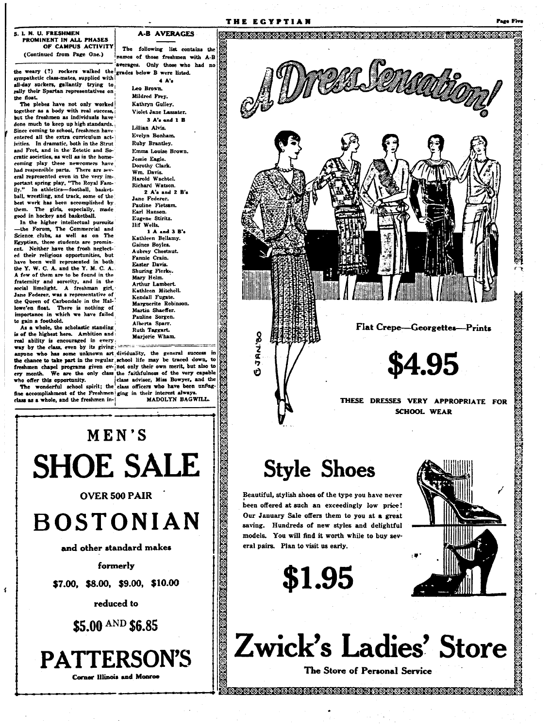the weary (?) rockers walked the grades below B were listed. sympathetic class-mates, supplied with all-day suckers, gallantly trying to rally their Spartan representatives on the float.

The plebes have not only worked together as a body with real success, but the freshmen as individuals have done much to keep up high standards. Since coming to school, freshmen have entered all the extra curriculum actjvities. In dramatic, both in the Strut and Fret, and in the Zetetic and Socratic societies, as well as in the homecoming play these newcomers have had responsible parts. There are several represented even in the very important spring play, "The Royal Fam-<br>ily." In athletics-football, baskethall, wrestling, and track, some of the best work has been accomplished by them. The girls, especially, made<br>good in hockey and basketball.

In the higher intellectual pursuits the Forum, The Commercial and Science clubs, as well as on The Egyptian, these students are promin-Neither have the frosh neglectent. ed their religious opportunities, but have been well represented in both the Y. W. C. A. and the Y. M. C. A. A few of them are to be found in the fraternity and sorority, and in the social limelight. A freshman girl, Jane Federer, was a representative of the Queen of Carbondale in the Hallowe'en float. There is nothing of<br>importance in which we have failed to gain a foothold.

As a whole, the scholastic standing is of the highest here. Ambition and real ability is encouraged in every way by the class, even by its giving

anyone who has some unknown art dividuality, the general success in the chance to take part in the regular school life may be traced down, to the channel chapel programs given ev-jnot only their own merit, but also to freshmen chapel programs given ev-jnot only their own merit, but also to ery month. We are the only class the faithfulness of the very capable who offer this opportunity.

fine accomplishment of the Freshmen ging in their interest alway class as a whole, and the freshmen in-

 $\mathbf{I}$ 

The following list contains the names of those freshmen with A-B averages. Only those who had no

 $4A<sup>2</sup>$ 

**A-B AVERAGES** 

THE EGYPTIAN

Ġ

Leo Brown. Mildred Frey. Kathryn Gulley. Violet Jane Lassater.

 $3$  A's and  $1$  B Lillian Alvis. Evelyn Bonham Ruby Brantley. Emma Louise Brown. Jessie Facle. Dorothy Clark. Wm. Davis. Hamld Wachtel Richard Watson. 2 A's and 2 B's Jane Federer.

Pauline Fietsam. Earl Hanson. Eugene Stiritz. lif Wells

1 A and 3 B's Kathleen Bellamy. Gaines Boyles. Aubrey Chestnut. Fannie Crain. Easter Davis. Shuring Fierke. Mary Helm. Arthur Lambert. Kathleen Mitchell. Kendall Fugate. Marguerite Robinson. Martin Shaeffer. Pauline Sorgen. Alberta Sparr. **Ruth Taggart** Marjorie Wham.

the offer this opportunity. (class advisor, Miss Bowyer, and the The wonderful school spirit; the class officers who have been unflag-MADOLYN BAGWILL



formerly

\$7.00, \$8.00, \$9.00, \$10.00

reduced to

\$5.00 AND \$6.85

**PATTERSON'S Corner Illinois and Monroe** 



## **Style Shoes**

Beautiful, stylish shoes of the type you have never been offered at such an exceedingly low price! Our January Sale offers them to you at a great saving. Hundreds of new styles and delightful models. You will find it worth while to buy several pairs. Plan to visit us early.

\$1.95



Page Figur



The Store of Personal Service